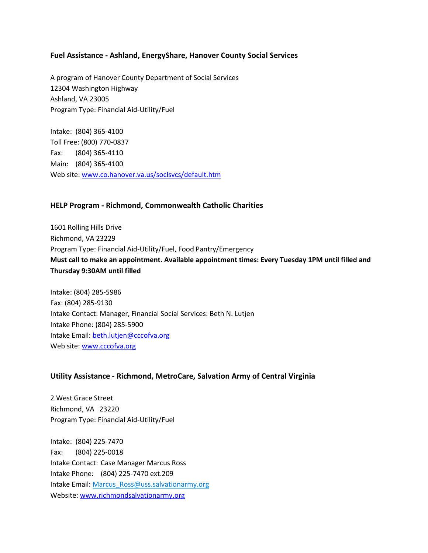#### **Fuel Assistance - Ashland, EnergyShare, Hanover County Social Services**

A program of Hanover County Department of Social Services 12304 Washington Highway Ashland, VA 23005 Program Type: Financial Aid-Utility/Fuel

Intake: (804) 365-4100 Toll Free: (800) 770-0837 Fax: (804) 365-4110 Main: (804) 365-4100 Web site: www.co.hanover.va.us/soclsvcs/default.htm

#### **HELP Program - Richmond, Commonwealth Catholic Charities**

1601 Rolling Hills Drive Richmond, VA 23229 Program Type: Financial Aid-Utility/Fuel, Food Pantry/Emergency **Must call to make an appointment. Available appointment times: Every Tuesday 1PM until filled and Thursday 9:30AM until filled**

Intake: (804) 285-5986 Fax: (804) 285-9130 Intake Contact: Manager, Financial Social Services: Beth N. Lutjen Intake Phone: (804) 285-5900 Intake Email: beth.lutjen@cccofva.org Web site: www.cccofva.org

#### **Utility Assistance - Richmond, MetroCare, Salvation Army of Central Virginia**

2 West Grace Street Richmond, VA 23220 Program Type: Financial Aid-Utility/Fuel

Intake: (804) 225-7470 Fax: (804) 225-0018 Intake Contact: Case Manager Marcus Ross Intake Phone: (804) 225-7470 ext.209 Intake Email: [Marcus\\_Ross@uss.salvationarmy.org](mailto:Marcus_Ross@uss.salvationarmy.org) Website: www.richmondsalvationarmy.org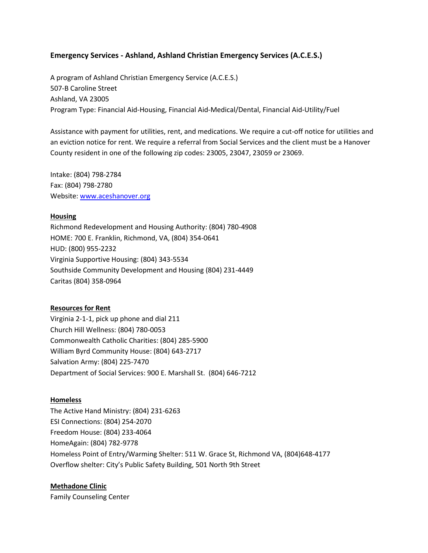#### **Emergency Services - Ashland, Ashland Christian Emergency Services (A.C.E.S.)**

A program of Ashland Christian Emergency Service (A.C.E.S.) 507-B Caroline Street Ashland, VA 23005 Program Type: Financial Aid-Housing, Financial Aid-Medical/Dental, Financial Aid-Utility/Fuel

Assistance with payment for utilities, rent, and medications. We require a cut-off notice for utilities and an eviction notice for rent. We require a referral from Social Services and the client must be a Hanover County resident in one of the following zip codes: 23005, 23047, 23059 or 23069.

Intake: (804) 798-2784 Fax: (804) 798-2780 Website: www.aceshanover.org

#### **Housing**

Richmond Redevelopment and Housing Authority: (804) 780-4908 HOME: 700 E. Franklin, Richmond, VA, (804) 354-0641 HUD: (800) 955-2232 Virginia Supportive Housing: (804) 343-5534 Southside Community Development and Housing (804) 231-4449 Caritas (804) 358-0964

#### **Resources for Rent**

Virginia 2-1-1, pick up phone and dial 211 Church Hill Wellness: (804) 780-0053 Commonwealth Catholic Charities: (804) 285-5900 William Byrd Community House: (804) 643-2717 Salvation Army: (804) 225-7470 Department of Social Services: 900 E. Marshall St. (804) 646-7212

#### **Homeless**

The Active Hand Ministry: (804) 231-6263 ESI Connections: (804) 254-2070 Freedom House: (804) 233-4064 HomeAgain: (804) 782-9778 Homeless Point of Entry/Warming Shelter: 511 W. Grace St, Richmond VA, (804)648-4177 Overflow shelter: City's Public Safety Building, 501 North 9th Street

#### **Methadone Clinic**

Family Counseling Center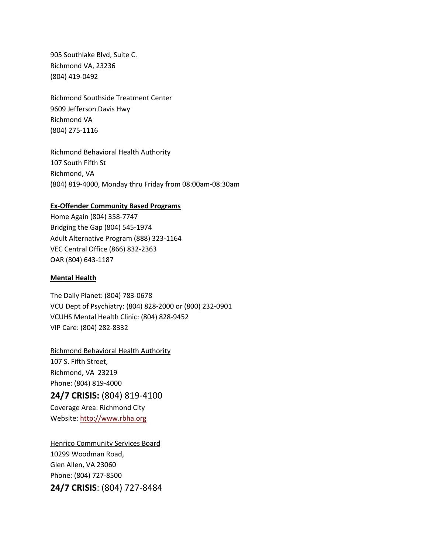905 Southlake Blvd, Suite C. Richmond VA, 23236 (804) 419-0492

Richmond Southside Treatment Center 9609 Jefferson Davis Hwy Richmond VA (804) 275-1116

Richmond Behavioral Health Authority 107 South Fifth St Richmond, VA (804) 819-4000, Monday thru Friday from 08:00am-08:30am

#### **Ex-Offender Community Based Programs**

Home Again (804) 358-7747 Bridging the Gap (804) 545-1974 Adult Alternative Program (888) 323-1164 VEC Central Office (866) 832-2363 OAR (804) 643-1187

#### **Mental Health**

The Daily Planet: (804) 783-0678 VCU Dept of Psychiatry: (804) 828-2000 or (800) 232-0901 VCUHS Mental Health Clinic: (804) 828-9452 VIP Care: (804) 282-8332

Richmond Behavioral Health Authority 107 S. Fifth Street, Richmond, VA 23219 Phone: (804) 819-4000

### **24/7 CRISIS:** (804) 819-4100

Coverage Area: Richmond City Website[: http://www.rbha.org](http://www.rbha.org/)

Henrico Community Services Board 10299 Woodman Road, Glen Allen, VA 23060 Phone: (804) 727-8500 **24/7 CRISIS**: (804) 727-8484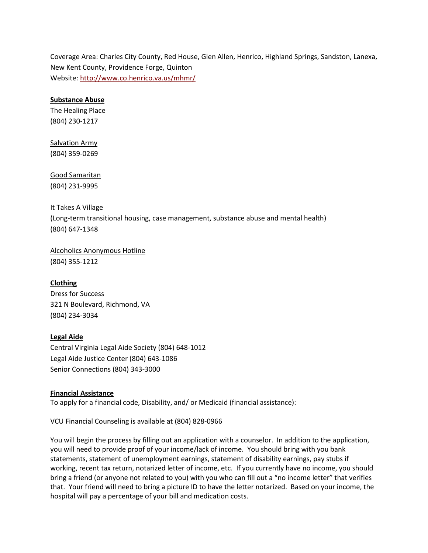Coverage Area: Charles City County, Red House, Glen Allen, Henrico, Highland Springs, Sandston, Lanexa, New Kent County, Providence Forge, Quinton Website[: http://www.co.henrico.va.us/mhmr/](http://www.co.henrico.va.us/mhmr/)

#### **Substance Abuse**

The Healing Place (804) 230-1217

# Salvation Army

(804) 359-0269

#### Good Samaritan (804) 231-9995

#### It Takes A Village

(Long-term transitional housing, case management, substance abuse and mental health) (804) 647-1348

Alcoholics Anonymous Hotline (804) 355-1212

#### **Clothing**

Dress for Success 321 N Boulevard, Richmond, VA (804) 234-3034

#### **Legal Aide**

Central Virginia Legal Aide Society (804) 648-1012 Legal Aide Justice Center (804) 643-1086 Senior Connections (804) 343-3000

#### **Financial Assistance**

To apply for a financial code, Disability, and/ or Medicaid (financial assistance):

VCU Financial Counseling is available at (804) 828-0966

You will begin the process by filling out an application with a counselor. In addition to the application, you will need to provide proof of your income/lack of income. You should bring with you bank statements, statement of unemployment earnings, statement of disability earnings, pay stubs if working, recent tax return, notarized letter of income, etc. If you currently have no income, you should bring a friend (or anyone not related to you) with you who can fill out a "no income letter" that verifies that. Your friend will need to bring a picture ID to have the letter notarized. Based on your income, the hospital will pay a percentage of your bill and medication costs.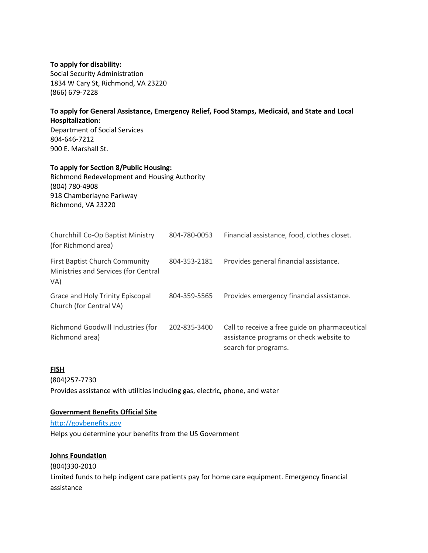#### **To apply for disability:**

Social Security Administration 1834 W Cary St, Richmond, VA 23220 (866) 679-7228

#### **To apply for General Assistance, Emergency Relief, Food Stamps, Medicaid, and State and Local Hospitalization:** Department of Social Services 804-646-7212 900 E. Marshall St.

#### **To apply for Section 8/Public Housing:**

Richmond Redevelopment and Housing Authority (804) 780-4908 918 Chamberlayne Parkway Richmond, VA 23220

| Churchhill Co-Op Baptist Ministry<br>(for Richmond area)                      | 804-780-0053 | Financial assistance, food, clothes closet.                                                                       |
|-------------------------------------------------------------------------------|--------------|-------------------------------------------------------------------------------------------------------------------|
| First Baptist Church Community<br>Ministries and Services (for Central<br>VA) | 804-353-2181 | Provides general financial assistance.                                                                            |
| Grace and Holy Trinity Episcopal<br>Church (for Central VA)                   | 804-359-5565 | Provides emergency financial assistance.                                                                          |
| Richmond Goodwill Industries (for<br>Richmond area)                           | 202-835-3400 | Call to receive a free guide on pharmaceutical<br>assistance programs or check website to<br>search for programs. |

#### **FISH**

(804)257-7730

Provides assistance with utilities including gas, electric, phone, and water

#### **Government Benefits Official Site**

[http://govbenefits.gov](http://govbenefits.gov/) Helps you determine your benefits from the US Government

#### **Johns Foundation**

(804)330-2010 Limited funds to help indigent care patients pay for home care equipment. Emergency financial assistance